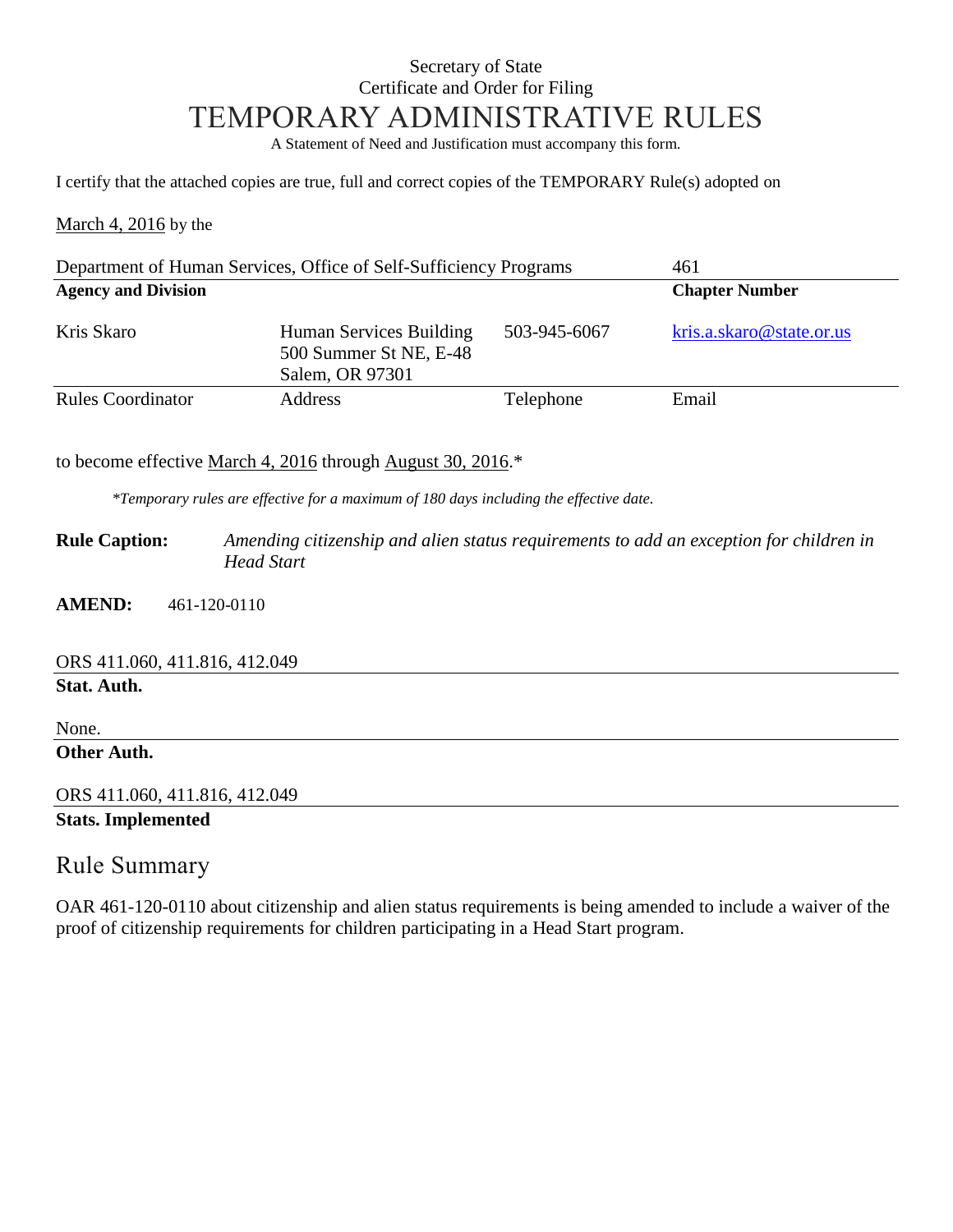### Secretary of State Certificate and Order for Filing TEMPORARY ADMINISTRATIVE RULES

A Statement of Need and Justification must accompany this form.

I certify that the attached copies are true, full and correct copies of the TEMPORARY Rule(s) adopted on

March 4, 2016 by the

| Department of Human Services, Office of Self-Sufficiency Programs |                                                                      |                       | 461                      |  |
|-------------------------------------------------------------------|----------------------------------------------------------------------|-----------------------|--------------------------|--|
| <b>Agency and Division</b>                                        |                                                                      | <b>Chapter Number</b> |                          |  |
| Kris Skaro                                                        | Human Services Building<br>500 Summer St NE, E-48<br>Salem, OR 97301 | 503-945-6067          | kris.a.skaro@state.or.us |  |
| <b>Rules Coordinator</b>                                          | <b>Address</b>                                                       | Telephone             | Email                    |  |

to become effective March 4, 2016 through August 30, 2016.\*

*\*Temporary rules are effective for a maximum of 180 days including the effective date.*

**Rule Caption:** *Amending citizenship and alien status requirements to add an exception for children in Head Start*

**AMEND:** 461-120-0110

ORS 411.060, 411.816, 412.049

**Stat. Auth.**

None. **Other Auth.**

ORS 411.060, 411.816, 412.049

**Stats. Implemented**

#### Rule Summary

OAR 461-120-0110 about citizenship and alien status requirements is being amended to include a waiver of the proof of citizenship requirements for children participating in a Head Start program.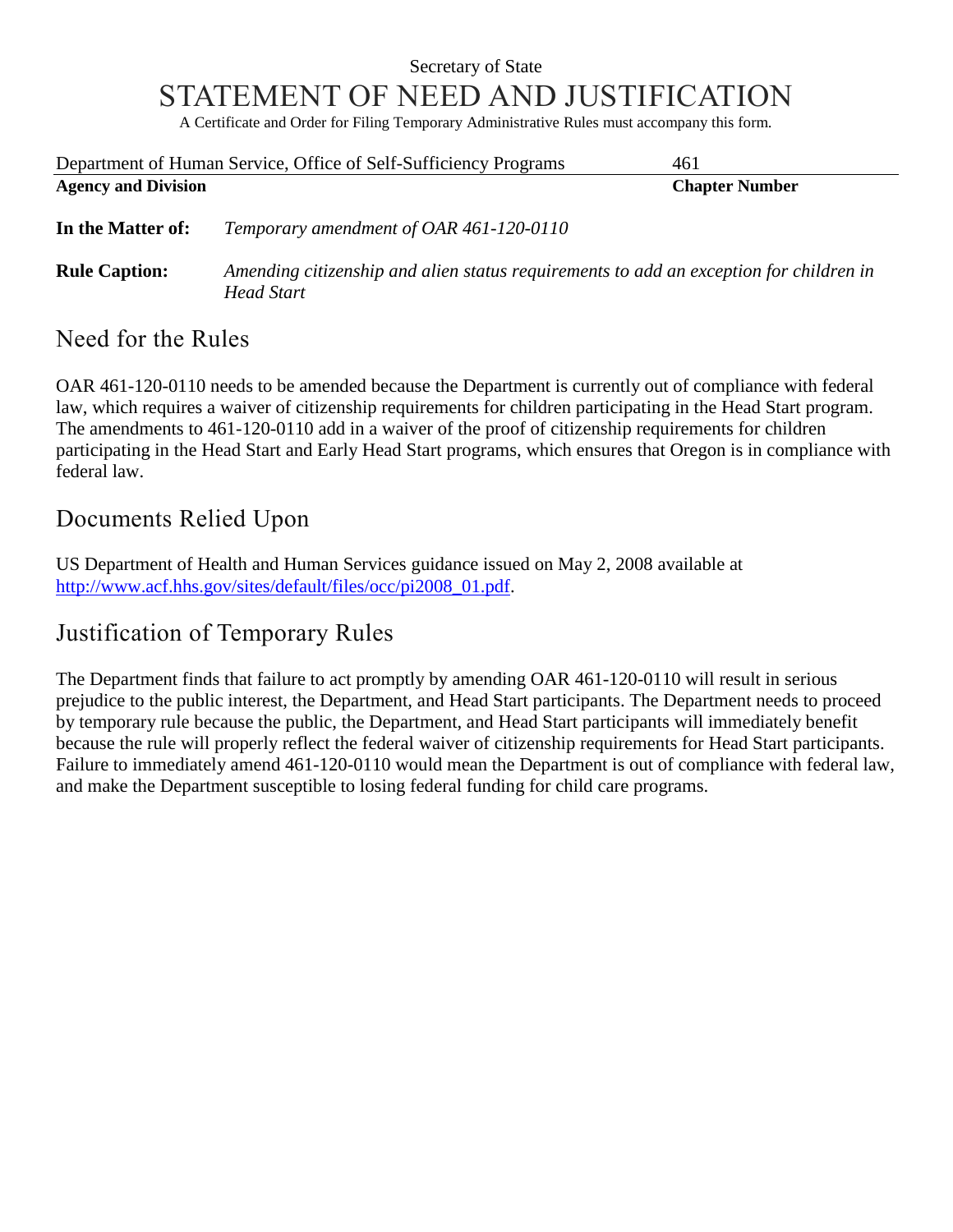## Secretary of State STATEMENT OF NEED AND JUSTIFICATION

A Certificate and Order for Filing Temporary Administrative Rules must accompany this form.

|                            | Department of Human Service, Office of Self-Sufficiency Programs                                     | 461                   |
|----------------------------|------------------------------------------------------------------------------------------------------|-----------------------|
| <b>Agency and Division</b> |                                                                                                      | <b>Chapter Number</b> |
| In the Matter of:          | Temporary amendment of OAR 461-120-0110                                                              |                       |
| <b>Rule Caption:</b>       | Amending citizenship and alien status requirements to add an exception for children in<br>Head Start |                       |

#### Need for the Rules

OAR 461-120-0110 needs to be amended because the Department is currently out of compliance with federal law, which requires a waiver of citizenship requirements for children participating in the Head Start program. The amendments to 461-120-0110 add in a waiver of the proof of citizenship requirements for children participating in the Head Start and Early Head Start programs, which ensures that Oregon is in compliance with federal law.

### Documents Relied Upon

US Department of Health and Human Services guidance issued on May 2, 2008 available at [http://www.acf.hhs.gov/sites/default/files/occ/pi2008\\_01.pdf.](http://www.acf.hhs.gov/sites/default/files/occ/pi2008_01.pdf)

# Justification of Temporary Rules

The Department finds that failure to act promptly by amending OAR 461-120-0110 will result in serious prejudice to the public interest, the Department, and Head Start participants. The Department needs to proceed by temporary rule because the public, the Department, and Head Start participants will immediately benefit because the rule will properly reflect the federal waiver of citizenship requirements for Head Start participants. Failure to immediately amend 461-120-0110 would mean the Department is out of compliance with federal law, and make the Department susceptible to losing federal funding for child care programs.